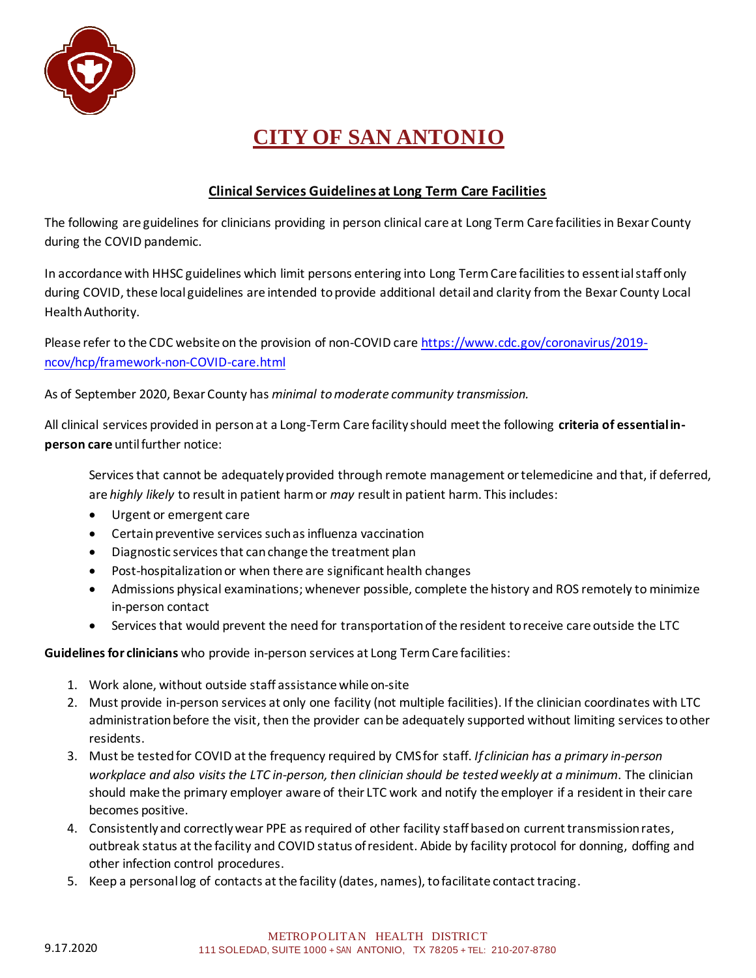

## **CITY OF SAN ANTONIO**

## **Clinical Services Guidelines at Long Term Care Facilities**

The following are guidelines for clinicians providing in person clinical care at Long Term Care facilities in Bexar County during the COVID pandemic.

In accordance with HHSC guidelines which limit persons entering into Long Term Care facilities to essential staff only during COVID, these local guidelines are intended to provide additional detail and clarity from the Bexar County Local Health Authority.

Please refer to the CDC website on the provision of non-COVID car[e https://www.cdc.gov/coronavirus/2019](https://www.cdc.gov/coronavirus/2019-ncov/hcp/framework-non-COVID-care.html) [ncov/hcp/framework-non-COVID-care.html](https://www.cdc.gov/coronavirus/2019-ncov/hcp/framework-non-COVID-care.html)

As of September 2020, Bexar County has *minimal to moderate community transmission.*

All clinical services provided in person at a Long-Term Care facility should meet the following **criteria of essential inperson care** until further notice:

Services that cannot be adequately provided through remote management or telemedicine and that, if deferred, are *highly likely* to result in patient harm or *may* result in patient harm. This includes:

- Urgent or emergent care
- Certain preventive services such as influenza vaccination
- Diagnostic services that can change the treatment plan
- Post-hospitalization or when there are significant health changes
- Admissions physical examinations; whenever possible, complete the history and ROS remotely to minimize in-person contact
- Services that would prevent the need for transportation of the resident to receive care outside the LTC

**Guidelines for clinicians** who provide in-person services at Long Term Care facilities:

- 1. Work alone, without outside staff assistance while on-site
- 2. Must provide in-person services at only one facility (not multiple facilities). If the clinician coordinates with LTC administration before the visit, then the provider can be adequately supported without limiting services to other residents.
- 3. Must be tested for COVID at the frequency required by CMS for staff. *If clinician has a primary in-person workplace and also visits the LTC in-person, then clinician should be tested weekly at a minimum*. The clinician should make the primary employer aware of their LTC work and notify the employer if a resident in their care becomes positive.
- 4. Consistently and correctly wear PPE as required of other facility staff based on current transmission rates, outbreak status at the facility and COVID status of resident. Abide by facility protocol for donning, doffing and other infection control procedures.
- 5. Keep a personal log of contacts at the facility (dates, names), to facilitate contact tracing.